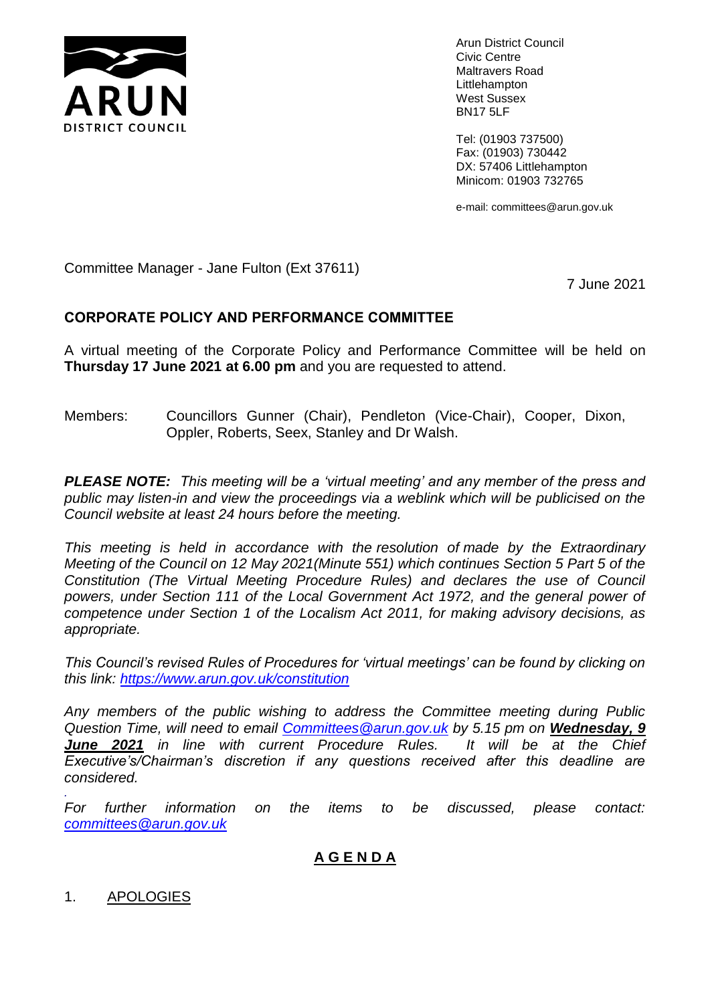

Arun District Council Civic Centre Maltravers Road Littlehampton West Sussex BN17 5LF

Tel: (01903 737500) Fax: (01903) 730442 DX: 57406 Littlehampton Minicom: 01903 732765

e-mail: committees@arun.gov.uk

Committee Manager - Jane Fulton (Ext 37611)

7 June 2021

# **CORPORATE POLICY AND PERFORMANCE COMMITTEE**

A virtual meeting of the Corporate Policy and Performance Committee will be held on **Thursday 17 June 2021 at 6.00 pm** and you are requested to attend.

Members: Councillors Gunner (Chair), Pendleton (Vice-Chair), Cooper, Dixon, Oppler, Roberts, Seex, Stanley and Dr Walsh.

*PLEASE NOTE: This meeting will be a 'virtual meeting' and any member of the press and public may listen-in and view the proceedings via a weblink which will be publicised on the Council website at least 24 hours before the meeting.* 

*This meeting is held in accordance with the resolution of made by the Extraordinary Meeting of the Council on 12 May 2021(Minute 551) which continues Section 5 Part 5 of the Constitution (The Virtual Meeting Procedure Rules) and declares the use of Council powers, under Section 111 of the Local Government Act 1972, and the general power of competence under Section 1 of the Localism Act 2011, for making advisory decisions, as appropriate.*

*This Council's revised Rules of Procedures for 'virtual meetings' can be found by clicking on this link:<https://www.arun.gov.uk/constitution>*

*Any members of the public wishing to address the Committee meeting during Public Question Time, will need to email [Committees@arun.gov.uk](mailto:Committees@arun.gov.uk) by 5.15 pm on Wednesday, 9 June 2021 in line with current Procedure Rules. It will be at the Chief Executive's/Chairman's discretion if any questions received after this deadline are considered.*

*For further information on the items to be discussed, please contact: [committees@arun.gov.uk](mailto:committees@arun.gov.uk)*

# **A G E N D A**

# 1. APOLOGIES

*.*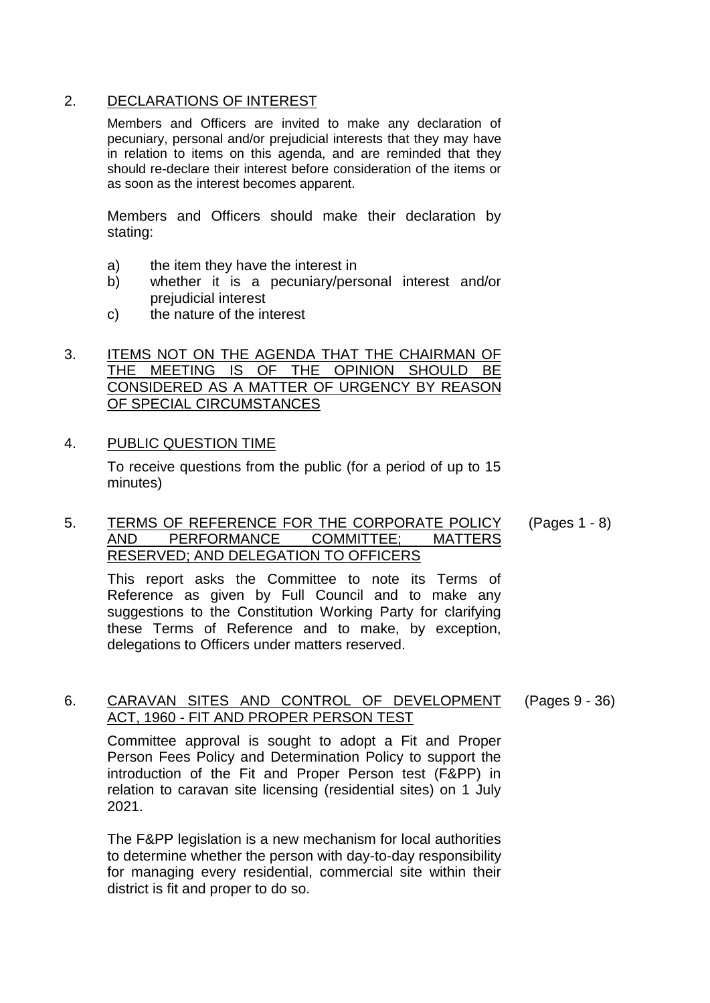# 2. DECLARATIONS OF INTEREST

Members and Officers are invited to make any declaration of pecuniary, personal and/or prejudicial interests that they may have in relation to items on this agenda, and are reminded that they should re-declare their interest before consideration of the items or as soon as the interest becomes apparent.

Members and Officers should make their declaration by stating:

- a) the item they have the interest in
- b) whether it is a pecuniary/personal interest and/or prejudicial interest
- c) the nature of the interest

# 3. ITEMS NOT ON THE AGENDA THAT THE CHAIRMAN OF THE MEETING IS OF THE OPINION SHOULD BE CONSIDERED AS A MATTER OF URGENCY BY REASON OF SPECIAL CIRCUMSTANCES

### 4. PUBLIC QUESTION TIME

To receive questions from the public (for a period of up to 15 minutes)

#### 5. TERMS OF REFERENCE FOR THE CORPORATE POLICY AND PERFORMANCE COMMITTEE; MATTERS RESERVED; AND DELEGATION TO OFFICERS (Pages 1 - 8)

This report asks the Committee to note its Terms of Reference as given by Full Council and to make any suggestions to the Constitution Working Party for clarifying these Terms of Reference and to make, by exception, delegations to Officers under matters reserved.

6. CARAVAN SITES AND CONTROL OF DEVELOPMENT (Pages 9 - 36)

Committee approval is sought to adopt a Fit and Proper Person Fees Policy and Determination Policy to support the introduction of the Fit and Proper Person test (F&PP) in relation to caravan site licensing (residential sites) on 1 July 2021.

ACT, 1960 - FIT AND PROPER PERSON TEST

The F&PP legislation is a new mechanism for local authorities to determine whether the person with day-to-day responsibility for managing every residential, commercial site within their district is fit and proper to do so.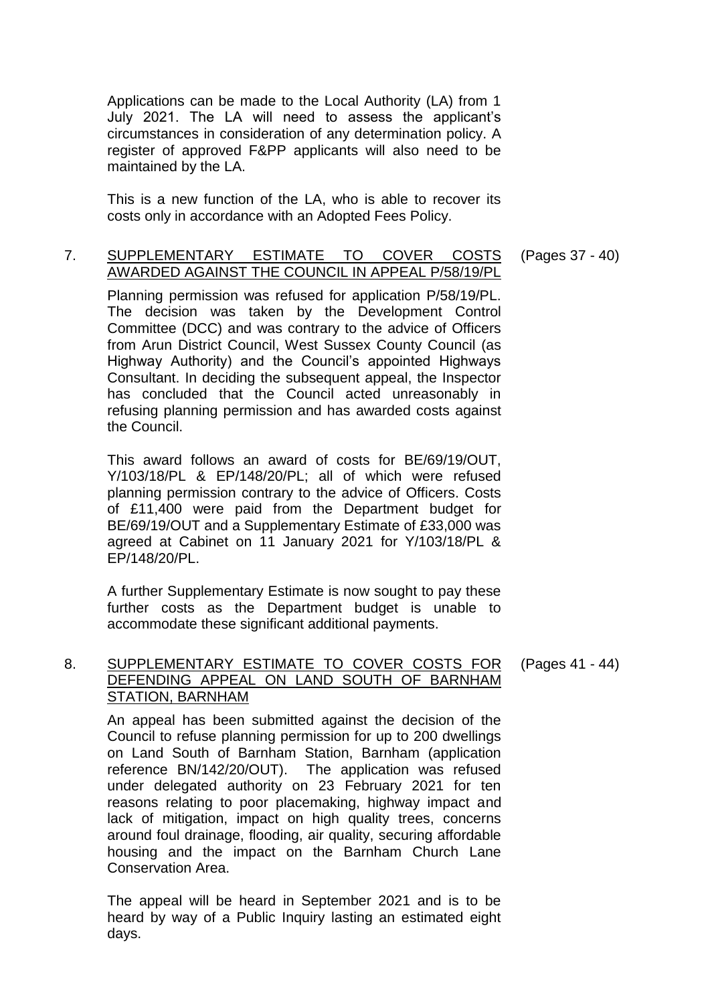Applications can be made to the Local Authority (LA) from 1 July 2021. The LA will need to assess the applicant's circumstances in consideration of any determination policy. A register of approved F&PP applicants will also need to be maintained by the LA.

This is a new function of the LA, who is able to recover its costs only in accordance with an Adopted Fees Policy.

### 7. SUPPLEMENTARY ESTIMATE TO COVER COSTS AWARDED AGAINST THE COUNCIL IN APPEAL P/58/19/PL

Planning permission was refused for application P/58/19/PL. The decision was taken by the Development Control Committee (DCC) and was contrary to the advice of Officers from Arun District Council, West Sussex County Council (as Highway Authority) and the Council's appointed Highways Consultant. In deciding the subsequent appeal, the Inspector has concluded that the Council acted unreasonably in refusing planning permission and has awarded costs against the Council.

This award follows an award of costs for BE/69/19/OUT, Y/103/18/PL & EP/148/20/PL; all of which were refused planning permission contrary to the advice of Officers. Costs of £11,400 were paid from the Department budget for BE/69/19/OUT and a Supplementary Estimate of £33,000 was agreed at Cabinet on 11 January 2021 for Y/103/18/PL & EP/148/20/PL.

A further Supplementary Estimate is now sought to pay these further costs as the Department budget is unable to accommodate these significant additional payments.

#### 8. SUPPLEMENTARY ESTIMATE TO COVER COSTS FOR DEFENDING APPEAL ON LAND SOUTH OF BARNHAM STATION, BARNHAM (Pages 41 - 44)

An appeal has been submitted against the decision of the Council to refuse planning permission for up to 200 dwellings on Land South of Barnham Station, Barnham (application reference BN/142/20/OUT). The application was refused under delegated authority on 23 February 2021 for ten reasons relating to poor placemaking, highway impact and lack of mitigation, impact on high quality trees, concerns around foul drainage, flooding, air quality, securing affordable housing and the impact on the Barnham Church Lane Conservation Area.

The appeal will be heard in September 2021 and is to be heard by way of a Public Inquiry lasting an estimated eight days.

(Pages 37 - 40)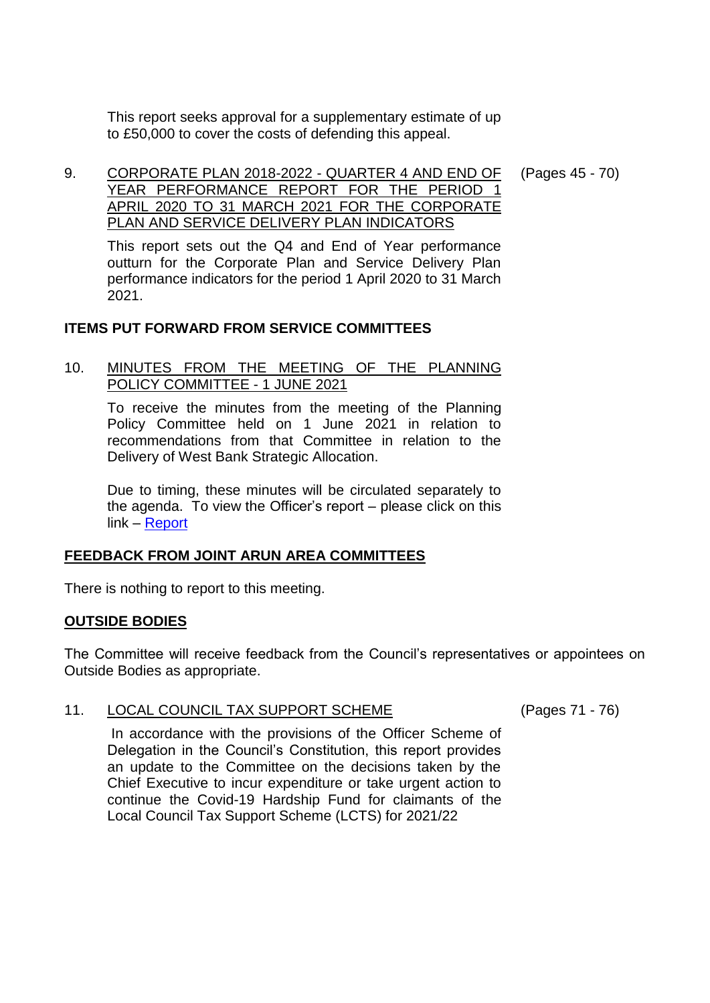This report seeks approval for a supplementary estimate of up to £50,000 to cover the costs of defending this appeal.

9. CORPORATE PLAN 2018-2022 - QUARTER 4 AND END OF YEAR PERFORMANCE REPORT FOR THE PERIOD 1 APRIL 2020 TO 31 MARCH 2021 FOR THE CORPORATE PLAN AND SERVICE DELIVERY PLAN INDICATORS (Pages 45 - 70)

This report sets out the Q4 and End of Year performance outturn for the Corporate Plan and Service Delivery Plan performance indicators for the period 1 April 2020 to 31 March 2021.

### **ITEMS PUT FORWARD FROM SERVICE COMMITTEES**

### 10. MINUTES FROM THE MEETING OF THE PLANNING POLICY COMMITTEE - 1 JUNE 2021

To receive the minutes from the meeting of the Planning Policy Committee held on 1 June 2021 in relation to recommendations from that Committee in relation to the Delivery of West Bank Strategic Allocation.

Due to timing, these minutes will be circulated separately to the agenda. To view the Officer's report – please click on this link – [Report](https://www.arun.gov.uk/download.cfm?doc=docm93jijm4n17341.pdf&ver=17979)

# **FEEDBACK FROM JOINT ARUN AREA COMMITTEES**

There is nothing to report to this meeting.

### **OUTSIDE BODIES**

The Committee will receive feedback from the Council's representatives or appointees on Outside Bodies as appropriate.

# 11. LOCAL COUNCIL TAX SUPPORT SCHEME (Pages 71 - 76)

In accordance with the provisions of the Officer Scheme of Delegation in the Council's Constitution, this report provides an update to the Committee on the decisions taken by the Chief Executive to incur expenditure or take urgent action to continue the Covid-19 Hardship Fund for claimants of the Local Council Tax Support Scheme (LCTS) for 2021/22